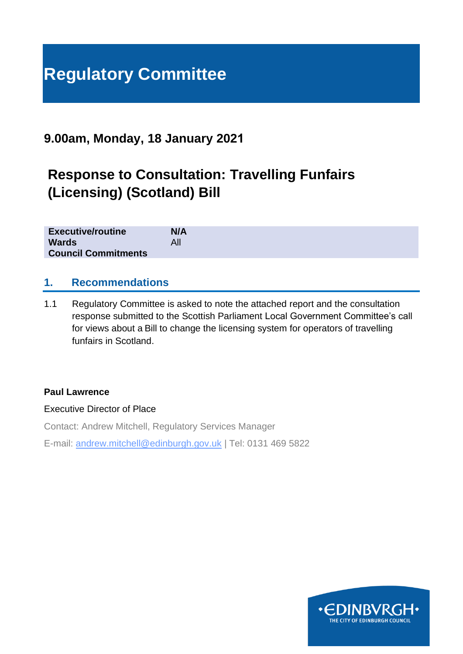# **Regulatory Committee**

# **9.00am, Monday, 18 January 2021**

# **Response to Consultation: Travelling Funfairs (Licensing) (Scotland) Bill**

| <b>Executive/routine</b>   | <b>N/A</b> |  |  |  |
|----------------------------|------------|--|--|--|
| <b>Wards</b>               | All        |  |  |  |
| <b>Council Commitments</b> |            |  |  |  |

## **1. Recommendations**

1.1 Regulatory Committee is asked to note the attached report and the consultation response submitted to the Scottish Parliament Local Government Committee's call for views about a Bill to change the licensing system for operators of travelling funfairs in Scotland.

#### **Paul Lawrence**

Executive Director of Place

Contact: Andrew Mitchell, Regulatory Services Manager E-mail: andrew.mitchell@edinburgh.gov.uk | Tel: 0131 469 5822

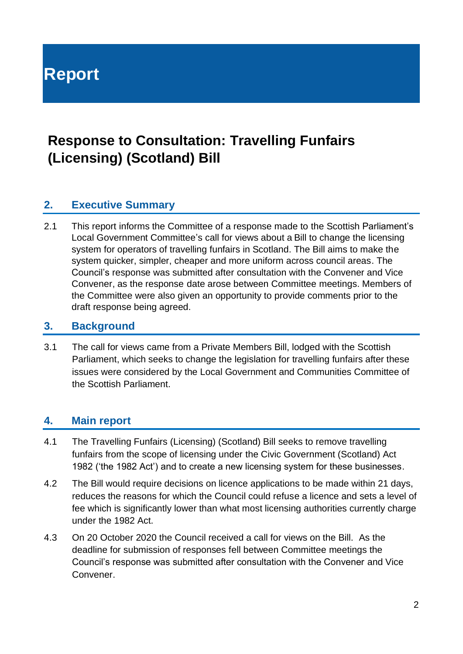**Report**

# **Response to Consultation: Travelling Funfairs (Licensing) (Scotland) Bill**

# **2. Executive Summary**

2.1 This report informs the Committee of a response made to the Scottish Parliament's Local Government Committee's call for views about a Bill to change the licensing system for operators of travelling funfairs in Scotland. The Bill aims to make the system quicker, simpler, cheaper and more uniform across council areas. The Council's response was submitted after consultation with the Convener and Vice Convener, as the response date arose between Committee meetings. Members of the Committee were also given an opportunity to provide comments prior to the draft response being agreed.

### **3. Background**

3.1 The call for views came from a Private Members Bill, lodged with the Scottish Parliament, which seeks to change the legislation for travelling funfairs after these issues were considered by the Local Government and Communities Committee of the Scottish Parliament.

## **4. Main report**

- 4.1 The Travelling Funfairs (Licensing) (Scotland) Bill seeks to remove travelling funfairs from the scope of licensing under the Civic Government (Scotland) Act 1982 ('the 1982 Act') and to create a new licensing system for these businesses.
- 4.2 The Bill would require decisions on licence applications to be made within 21 days, reduces the reasons for which the Council could refuse a licence and sets a level of fee which is significantly lower than what most licensing authorities currently charge under the 1982 Act.
- 4.3 On 20 October 2020 the Council received a call for views on the Bill. As the deadline for submission of responses fell between Committee meetings the Council's response was submitted after consultation with the Convener and Vice Convener.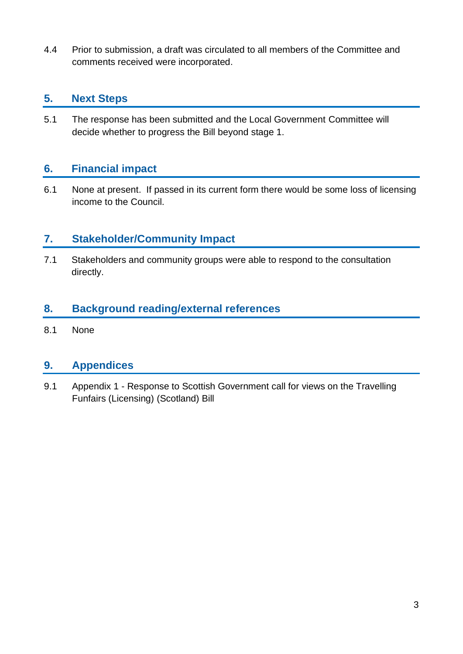4.4 Prior to submission, a draft was circulated to all members of the Committee and comments received were incorporated.

# **5. Next Steps**

5.1 The response has been submitted and the Local Government Committee will decide whether to progress the Bill beyond stage 1.

# **6. Financial impact**

6.1 None at present. If passed in its current form there would be some loss of licensing income to the Council.

# **7. Stakeholder/Community Impact**

7.1 Stakeholders and community groups were able to respond to the consultation directly.

# **8. Background reading/external references**

8.1 None

# **9. Appendices**

9.1 Appendix 1 - Response to Scottish Government call for views on the Travelling Funfairs (Licensing) (Scotland) Bill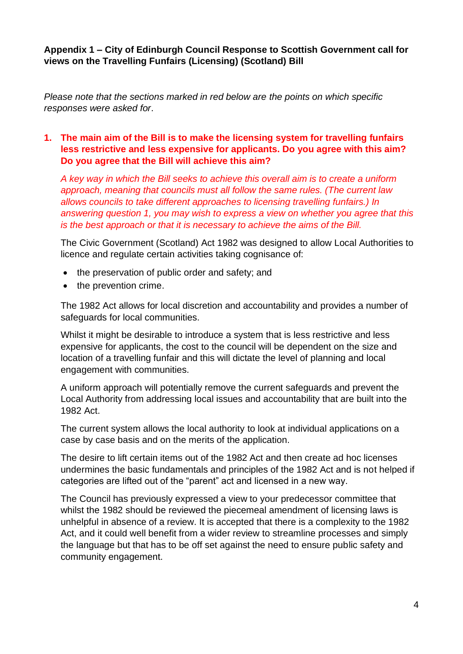#### **Appendix 1 – City of Edinburgh Council Response to Scottish Government call for views on the Travelling Funfairs (Licensing) (Scotland) Bill**

*Please note that the sections marked in red below are the points on which specific responses were asked for*.

#### **1. The main aim of the Bill is to make the licensing system for travelling funfairs less restrictive and less expensive for applicants. Do you agree with this aim? Do you agree that the Bill will achieve this aim?**

*A key way in which the Bill seeks to achieve this overall aim is to create a uniform approach, meaning that councils must all follow the same rules. (The current law allows councils to take different approaches to licensing travelling funfairs.) In answering question 1, you may wish to express a view on whether you agree that this is the best approach or that it is necessary to achieve the aims of the Bill.*

The Civic Government (Scotland) Act 1982 was designed to allow Local Authorities to licence and regulate certain activities taking cognisance of:

- the preservation of public order and safety; and
- the prevention crime.

The 1982 Act allows for local discretion and accountability and provides a number of safeguards for local communities.

Whilst it might be desirable to introduce a system that is less restrictive and less expensive for applicants, the cost to the council will be dependent on the size and location of a travelling funfair and this will dictate the level of planning and local engagement with communities.

A uniform approach will potentially remove the current safeguards and prevent the Local Authority from addressing local issues and accountability that are built into the 1982 Act.

The current system allows the local authority to look at individual applications on a case by case basis and on the merits of the application.

The desire to lift certain items out of the 1982 Act and then create ad hoc licenses undermines the basic fundamentals and principles of the 1982 Act and is not helped if categories are lifted out of the "parent" act and licensed in a new way.

The Council has previously expressed a view to your predecessor committee that whilst the 1982 should be reviewed the piecemeal amendment of licensing laws is unhelpful in absence of a review. It is accepted that there is a complexity to the 1982 Act, and it could well benefit from a wider review to streamline processes and simply the language but that has to be off set against the need to ensure public safety and community engagement.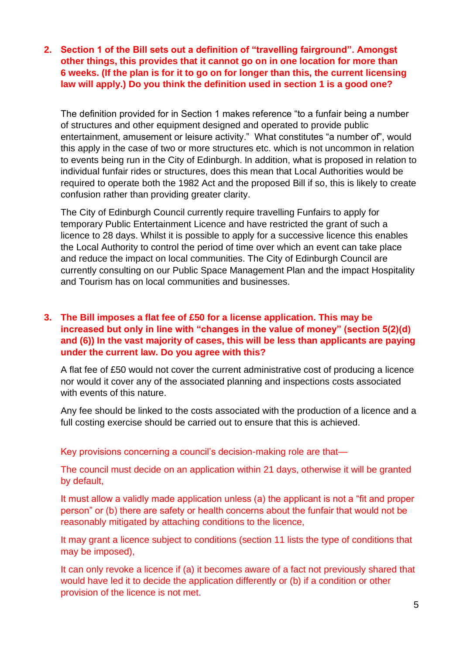**2. Section 1 of the Bill sets out a definition of "travelling fairground". Amongst other things, this provides that it cannot go on in one location for more than 6 weeks. (If the plan is for it to go on for longer than this, the current licensing law will apply.) Do you think the definition used in section 1 is a good one?**

The definition provided for in Section 1 makes reference "to a funfair being a number of structures and other equipment designed and operated to provide public entertainment, amusement or leisure activity." What constitutes "a number of", would this apply in the case of two or more structures etc. which is not uncommon in relation to events being run in the City of Edinburgh. In addition, what is proposed in relation to individual funfair rides or structures, does this mean that Local Authorities would be required to operate both the 1982 Act and the proposed Bill if so, this is likely to create confusion rather than providing greater clarity.

The City of Edinburgh Council currently require travelling Funfairs to apply for temporary Public Entertainment Licence and have restricted the grant of such a licence to 28 days. Whilst it is possible to apply for a successive licence this enables the Local Authority to control the period of time over which an event can take place and reduce the impact on local communities. The City of Edinburgh Council are currently consulting on our Public Space Management Plan and the impact Hospitality and Tourism has on local communities and businesses.

#### **3. The Bill imposes a flat fee of £50 for a license application. This may be increased but only in line with "changes in the value of money" (section 5(2)(d) and (6)) In the vast majority of cases, this will be less than applicants are paying under the current law. Do you agree with this?**

A flat fee of £50 would not cover the current administrative cost of producing a licence nor would it cover any of the associated planning and inspections costs associated with events of this nature.

Any fee should be linked to the costs associated with the production of a licence and a full costing exercise should be carried out to ensure that this is achieved.

Key provisions concerning a council's decision-making role are that—

The council must decide on an application within 21 days, otherwise it will be granted by default,

It must allow a validly made application unless (a) the applicant is not a "fit and proper person" or (b) there are safety or health concerns about the funfair that would not be reasonably mitigated by attaching conditions to the licence,

It may grant a licence subject to conditions (section 11 lists the type of conditions that may be imposed),

It can only revoke a licence if (a) it becomes aware of a fact not previously shared that would have led it to decide the application differently or (b) if a condition or other provision of the licence is not met.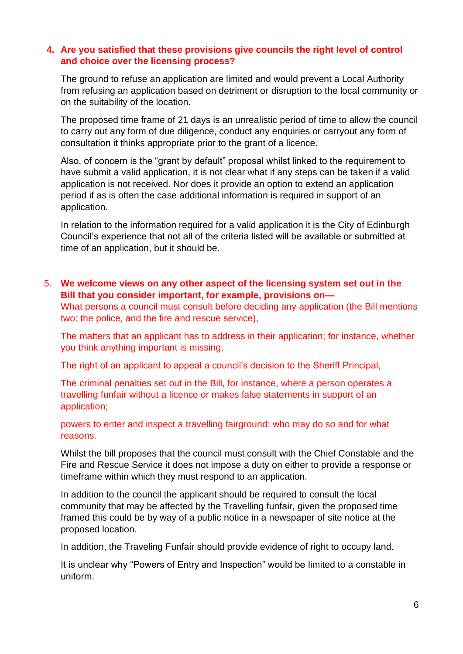#### **4. Are you satisfied that these provisions give councils the right level of control and choice over the licensing process?**

The ground to refuse an application are limited and would prevent a Local Authority from refusing an application based on detriment or disruption to the local community or on the suitability of the location.

The proposed time frame of 21 days is an unrealistic period of time to allow the council to carry out any form of due diligence, conduct any enquiries or carryout any form of consultation it thinks appropriate prior to the grant of a licence.

Also, of concern is the "grant by default" proposal whilst linked to the requirement to have submit a valid application, it is not clear what if any steps can be taken if a valid application is not received. Nor does it provide an option to extend an application period if as is often the case additional information is required in support of an application.

In relation to the information required for a valid application it is the City of Edinburgh Council's experience that not all of the criteria listed will be available or submitted at time of an application, but it should be.

5. **We welcome views on any other aspect of the licensing system set out in the Bill that you consider important, for example, provisions on—**

What persons a council must consult before deciding any application (the Bill mentions two: the police, and the fire and rescue service),

The matters that an applicant has to address in their application; for instance, whether you think anything important is missing,

The right of an applicant to appeal a council's decision to the Sheriff Principal,

The criminal penalties set out in the Bill, for instance, where a person operates a travelling funfair without a licence or makes false statements in support of an application;

powers to enter and inspect a travelling fairground: who may do so and for what reasons.

Whilst the bill proposes that the council must consult with the Chief Constable and the Fire and Rescue Service it does not impose a duty on either to provide a response or timeframe within which they must respond to an application.

In addition to the council the applicant should be required to consult the local community that may be affected by the Travelling funfair, given the proposed time framed this could be by way of a public notice in a newspaper of site notice at the proposed location.

In addition, the Traveling Funfair should provide evidence of right to occupy land.

It is unclear why "Powers of Entry and Inspection" would be limited to a constable in uniform.